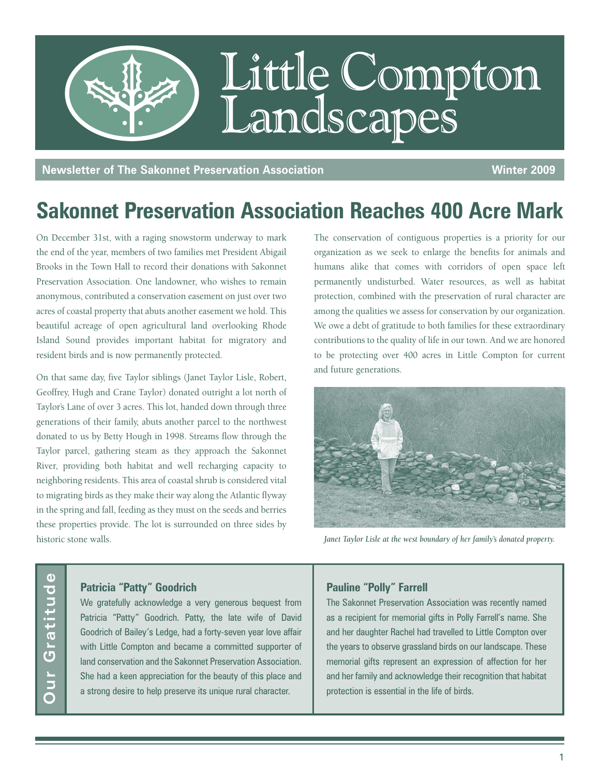

**Newsletter of The Sakonnet Preservation Association Winter 2009** 

## **Sakonnet Preservation Association Reaches 400 Acre Mark**

On December 31st, with a raging snowstorm underway to mark the end of the year, members of two families met President Abigail Brooks in the Town Hall to record their donations with Sakonnet Preservation Association. One landowner, who wishes to remain anonymous, contributed a conservation easement on just over two acres of coastal property that abuts another easement we hold. This beautiful acreage of open agricultural land overlooking Rhode Island Sound provides important habitat for migratory and resident birds and is now permanently protected.

On that same day, five Taylor siblings (Janet Taylor Lisle, Robert, Geoffrey, Hugh and Crane Taylor) donated outright a lot north of Taylor's Lane of over 3 acres. This lot, handed down through three generations of their family, abuts another parcel to the northwest donated to us by Betty Hough in 1998. Streams flow through the Taylor parcel, gathering steam as they approach the Sakonnet River, providing both habitat and well recharging capacity to neighboring residents. This area of coastal shrub is considered vital to migrating birds as they make their way along the Atlantic flyway in the spring and fall, feeding as they must on the seeds and berries these properties provide. The lot is surrounded on three sides by historic stone walls.

The conservation of contiguous properties is a priority for our organization as we seek to enlarge the benefits for animals and humans alike that comes with corridors of open space left permanently undisturbed. Water resources, as well as habitat protection, combined with the preservation of rural character are among the qualities we assess for conservation by our organization. We owe a debt of gratitude to both families for these extraordinary contributions to the quality of life in our town. And we are honored to be protecting over 400 acres in Little Compton for current and future generations.



Janet Taylor Lisle at the west boundary of her family's donated property.

# Gratitude **Our Gratitude**Jur

#### **Patricia "Patty" Goodrich**

We gratefully acknowledge a very generous bequest from Patricia "Patty" Goodrich. Patty, the late wife of David Goodrich of Bailey's Ledge, had a forty-seven year love affair with Little Compton and became a committed supporter of land conservation and the Sakonnet Preservation Association. She had a keen appreciation for the beauty of this place and a strong desire to help preserve its unique rural character.

#### **Pauline "Polly" Farrell**

The Sakonnet Preservation Association was recently named as a recipient for memorial gifts in Polly Farrell's name. She and her daughter Rachel had travelled to Little Compton over the years to observe grassland birds on our landscape. These memorial gifts represent an expression of affection for her and her family and acknowledge their recognition that habitat protection is essential in the life of birds.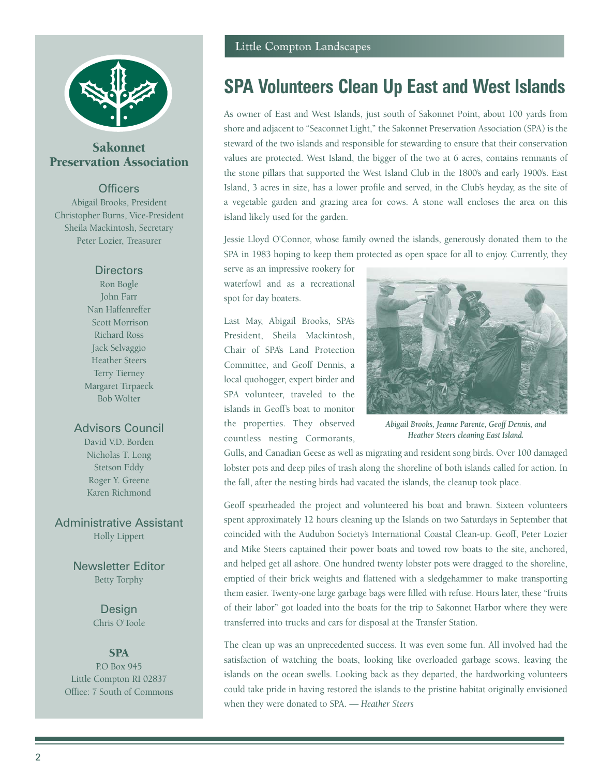

### Sakonnet Preservation Association

#### **Officers**

Abigail Brooks, President Christopher Burns, Vice-President Sheila Mackintosh, Secretary Peter Lozier, Treasurer

#### **Directors**

Ron Bogle John Farr Nan Haffenreffer Scott Morrison Richard Ross Jack Selvaggio Heather Steers Terry Tierney Margaret Tirpaeck Bob Wolter

#### Advisors Council

David V.D. Borden Nicholas T. Long Stetson Eddy Roger Y. Greene Karen Richmond

Administrative Assistant Holly Lippert

> Newsletter Editor Betty Torphy

> > Design Chris O'Toole

#### **SPA**

P.O Box 945 Little Compton RI 02837 Office: 7 South of Commons

### **SPA Volunteers Clean Up East and West Islands**

As owner of East and West Islands, just south of Sakonnet Point, about 100 yards from shore and adjacent to "Seaconnet Light," the Sakonnet Preservation Association (SPA) is the steward of the two islands and responsible for stewarding to ensure that their conservation values are protected. West Island, the bigger of the two at 6 acres, contains remnants of the stone pillars that supported the West Island Club in the 1800's and early 1900's. East Island, 3 acres in size, has a lower profile and served, in the Club's heyday, as the site of a vegetable garden and grazing area for cows. A stone wall encloses the area on this island likely used for the garden.

Jessie Lloyd O'Connor, whose family owned the islands, generously donated them to the SPA in 1983 hoping to keep them protected as open space for all to enjoy. Currently, they

serve as an impressive rookery for waterfowl and as a recreational spot for day boaters.

Last May, Abigail Brooks, SPA's President, Sheila Mackintosh, Chair of SPA's Land Protection Committee, and Geoff Dennis, a local quohogger, expert birder and SPA volunteer, traveled to the islands in Geoff's boat to monitor the properties. They observed countless nesting Cormorants,



*Abigail Brooks, Jeanne Parente, Geoff Dennis, and Heather Steers cleaning East Island.*

Gulls, and Canadian Geese as well as migrating and resident song birds. Over 100 damaged lobster pots and deep piles of trash along the shoreline of both islands called for action. In the fall, after the nesting birds had vacated the islands, the cleanup took place.

Geoff spearheaded the project and volunteered his boat and brawn. Sixteen volunteers spent approximately 12 hours cleaning up the Islands on two Saturdays in September that coincided with the Audubon Society's International Coastal Clean-up. Geoff, Peter Lozier and Mike Steers captained their power boats and towed row boats to the site, anchored, and helped get all ashore. One hundred twenty lobster pots were dragged to the shoreline, emptied of their brick weights and flattened with a sledgehammer to make transporting them easier. Twenty-one large garbage bags were filled with refuse. Hours later, these "fruits of their labor" got loaded into the boats for the trip to Sakonnet Harbor where they were transferred into trucks and cars for disposal at the Transfer Station.

The clean up was an unprecedented success. It was even some fun. All involved had the satisfaction of watching the boats, looking like overloaded garbage scows, leaving the islands on the ocean swells. Looking back as they departed, the hardworking volunteers could take pride in having restored the islands to the pristine habitat originally envisioned when they were donated to SPA. *— Heather Steers*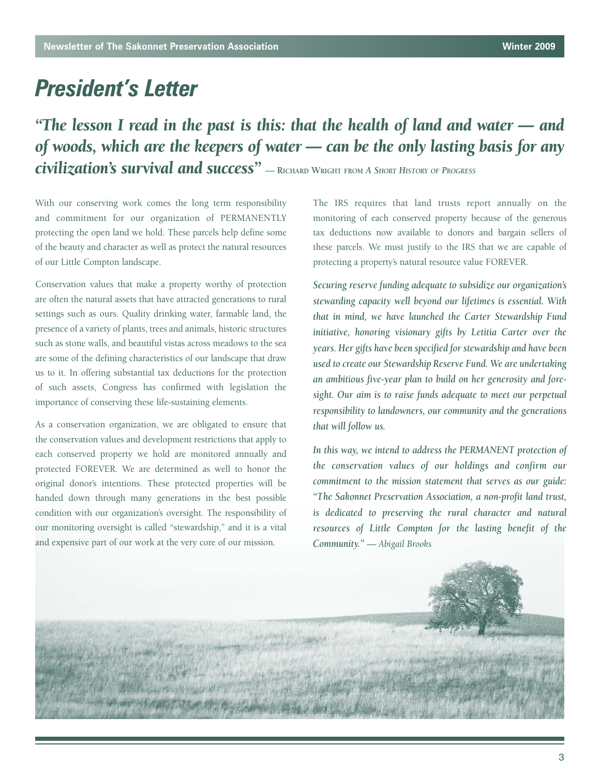### *President's Letter*

*"The lesson I read in the past is this: that the health of land and water — and of woods, which are the keepers of water — can be the only lasting basis for any civilization's survival and success" —* **RICHARD WRIGHT FROM** *A SHORT HISTORY OF PROGRESS*

With our conserving work comes the long term responsibility and commitment for our organization of PERMANENTLY protecting the open land we hold. These parcels help define some of the beauty and character as well as protect the natural resources of our Little Compton landscape.

Conservation values that make a property worthy of protection are often the natural assets that have attracted generations to rural settings such as ours. Quality drinking water, farmable land, the presence of a variety of plants, trees and animals, historic structures such as stone walls, and beautiful vistas across meadows to the sea are some of the defining characteristics of our landscape that draw us to it. In offering substantial tax deductions for the protection of such assets, Congress has confirmed with legislation the importance of conserving these life-sustaining elements.

As a conservation organization, we are obligated to ensure that the conservation values and development restrictions that apply to each conserved property we hold are monitored annually and protected FOREVER. We are determined as well to honor the original donor's intentions. These protected properties will be handed down through many generations in the best possible condition with our organization's oversight. The responsibility of our monitoring oversight is called "stewardship," and it is a vital and expensive part of our work at the very core of our mission.

The IRS requires that land trusts report annually on the monitoring of each conserved property because of the generous tax deductions now available to donors and bargain sellers of these parcels. We must justify to the IRS that we are capable of protecting a property's natural resource value FOREVER.

*Securing reserve funding adequate to subsidize our organization's stewarding capacity well beyond our lifetimes is essential. With that in mind, we have launched the Carter Stewardship Fund initiative, honoring visionary gifts by Letitia Carter over the years. Her gifts have been specified for stewardship and have been used to create our Stewardship Reserve Fund. We are undertaking an ambitious five-year plan to build on her generosity and foresight. Our aim is to raise funds adequate to meet our perpetual responsibility to landowners, our community and the generations that will follow us.* 

*In this way, we intend to address the PERMANENT protection of the conservation values of our holdings and confirm our commitment to the mission statement that serves as our guide: "The Sakonnet Preservation Association, a non-profit land trust, is dedicated to preserving the rural character and natural resources of Little Compton for the lasting benefit of the Community." — Abigail Brooks*

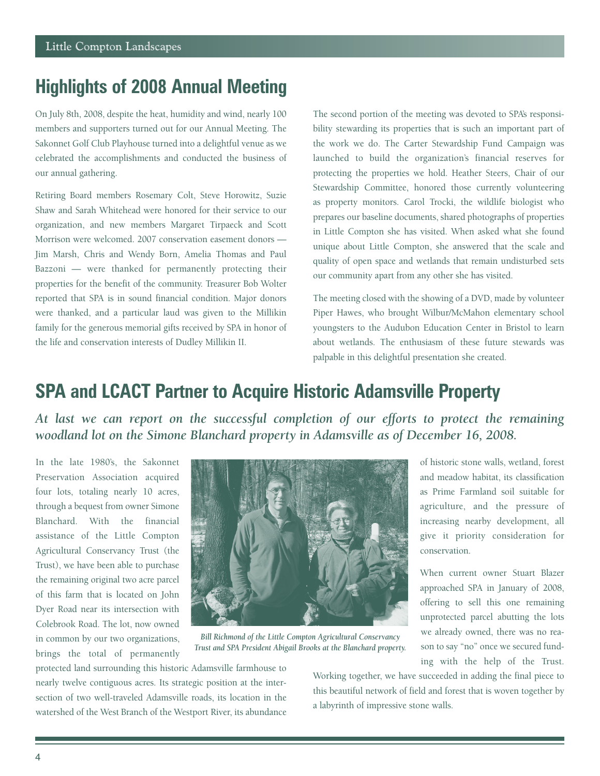### **Highlights of 2008 Annual Meeting**

On July 8th, 2008, despite the heat, humidity and wind, nearly 100 members and supporters turned out for our Annual Meeting. The Sakonnet Golf Club Playhouse turned into a delightful venue as we celebrated the accomplishments and conducted the business of our annual gathering.

Retiring Board members Rosemary Colt, Steve Horowitz, Suzie Shaw and Sarah Whitehead were honored for their service to our organization, and new members Margaret Tirpaeck and Scott Morrison were welcomed. 2007 conservation easement donors — Jim Marsh, Chris and Wendy Born, Amelia Thomas and Paul Bazzoni — were thanked for permanently protecting their properties for the benefit of the community. Treasurer Bob Wolter reported that SPA is in sound financial condition. Major donors were thanked, and a particular laud was given to the Millikin family for the generous memorial gifts received by SPA in honor of the life and conservation interests of Dudley Millikin II.

The second portion of the meeting was devoted to SPA's responsibility stewarding its properties that is such an important part of the work we do. The Carter Stewardship Fund Campaign was launched to build the organization's financial reserves for protecting the properties we hold. Heather Steers, Chair of our Stewardship Committee, honored those currently volunteering as property monitors. Carol Trocki, the wildlife biologist who prepares our baseline documents, shared photographs of properties in Little Compton she has visited. When asked what she found unique about Little Compton, she answered that the scale and quality of open space and wetlands that remain undisturbed sets our community apart from any other she has visited.

The meeting closed with the showing of a DVD, made by volunteer Piper Hawes, who brought Wilbur/McMahon elementary school youngsters to the Audubon Education Center in Bristol to learn about wetlands. The enthusiasm of these future stewards was palpable in this delightful presentation she created.

### **SPA and LCACT Partner to Acquire Historic Adamsville Property**

*At last we can report on the successful completion of our efforts to protect the remaining*  woodland lot on the Simone Blanchard property in Adamsville as of December 16, 2008.

In the late 1980's, the Sakonnet Preservation Association acquired four lots, totaling nearly 10 acres, through a bequest from owner Simone Blanchard. With the financial assistance of the Little Compton Agricultural Conservancy Trust (the Trust), we have been able to purchase the remaining original two acre parcel of this farm that is located on John Dyer Road near its intersection with Colebrook Road. The lot, now owned in common by our two organizations, brings the total of permanently



*Bill Richmond of the Little Compton Agricultural Conservancy Trust and SPA President Abigail Brooks at the Blanchard property.*

of historic stone walls, wetland, forest and meadow habitat, its classification as Prime Farmland soil suitable for agriculture, and the pressure of increasing nearby development, all give it priority consideration for conservation.

When current owner Stuart Blazer approached SPA in January of 2008, offering to sell this one remaining unprotected parcel abutting the lots we already owned, there was no reason to say "no" once we secured funding with the help of the Trust.

protected land surrounding this historic Adamsville farmhouse to nearly twelve contiguous acres. Its strategic position at the intersection of two well-traveled Adamsville roads, its location in the watershed of the West Branch of the Westport River, its abundance

Working together, we have succeeded in adding the final piece to this beautiful network of field and forest that is woven together by a labyrinth of impressive stone walls.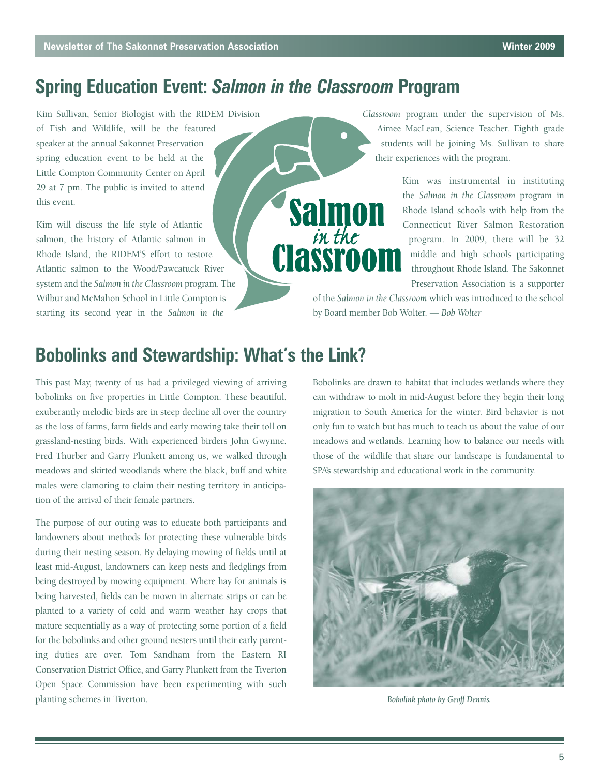### **Spring Education Event:** *Salmon in the Classroom* **Program**

**Salmon** 

in the

**Classroo** 

Kim Sullivan, Senior Biologist with the RIDEM Division of Fish and Wildlife, will be the featured speaker at the annual Sakonnet Preservation spring education event to be held at the Little Compton Community Center on April 29 at 7 pm. The public is invited to attend this event.

Kim will discuss the life style of Atlantic salmon, the history of Atlantic salmon in Rhode Island, the RIDEM'S effort to restore Atlantic salmon to the Wood/Pawcatuck River system and the *Salmon in the Classroom* program. The Wilbur and McMahon School in Little Compton is starting its second year in the *Salmon in the*

*Classroom* program under the supervision of Ms. Aimee MacLean, Science Teacher. Eighth grade students will be joining Ms. Sullivan to share their experiences with the program.

> Kim was instrumental in instituting the *Salmon in the Classroom* program in Rhode Island schools with help from the Connecticut River Salmon Restoration program. In 2009, there will be 32 middle and high schools participating throughout Rhode Island. The Sakonnet Preservation Association is a supporter

of the *Salmon in the Classroom* which was introduced to the school by Board member Bob Wolter. *— Bob Wolter*

### **Bobolinks and Stewardship: What's the Link?**

This past May, twenty of us had a privileged viewing of arriving bobolinks on five properties in Little Compton. These beautiful, exuberantly melodic birds are in steep decline all over the country as the loss of farms, farm fields and early mowing take their toll on grassland-nesting birds. With experienced birders John Gwynne, Fred Thurber and Garry Plunkett among us, we walked through meadows and skirted woodlands where the black, buff and white males were clamoring to claim their nesting territory in anticipation of the arrival of their female partners.

The purpose of our outing was to educate both participants and landowners about methods for protecting these vulnerable birds during their nesting season. By delaying mowing of fields until at least mid-August, landowners can keep nests and fledglings from being destroyed by mowing equipment. Where hay for animals is being harvested, fields can be mown in alternate strips or can be planted to a variety of cold and warm weather hay crops that mature sequentially as a way of protecting some portion of a field for the bobolinks and other ground nesters until their early parenting duties are over. Tom Sandham from the Eastern RI Conservation District Office, and Garry Plunkett from the Tiverton Open Space Commission have been experimenting with such planting schemes in Tiverton. *Bobolink photo by Geoff Dennis.*

Bobolinks are drawn to habitat that includes wetlands where they can withdraw to molt in mid-August before they begin their long migration to South America for the winter. Bird behavior is not only fun to watch but has much to teach us about the value of our meadows and wetlands. Learning how to balance our needs with those of the wildlife that share our landscape is fundamental to SPA's stewardship and educational work in the community.